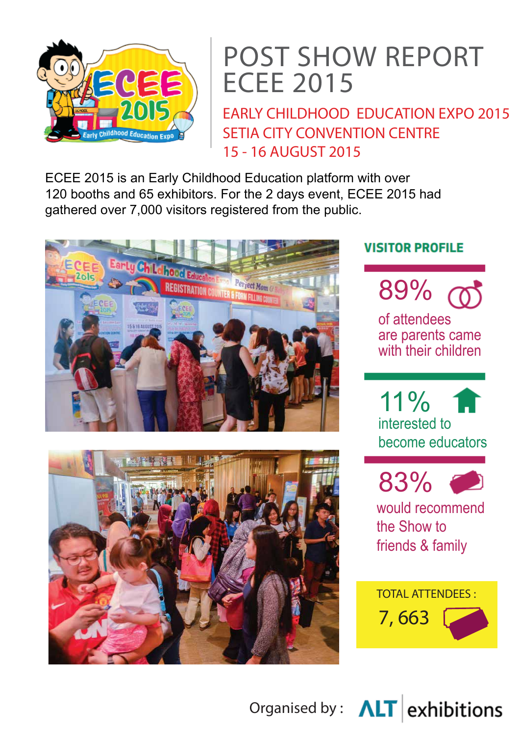

# POST SHOW REPORT ECEE 2015

EARLY CHILDHOOD EDUCATION EXPO 2015 SETIA CITY CONVENTION CENTRE 15 - 16 AUGUST 2015

ECEE 2015 is an Early Childhood Education platform with over 120 booths and 65 exhibitors. For the 2 days event, ECEE 2015 had gathered over 7,000 visitors registered from the public.





#### **VISITOR PROFILE**



of attendees are parents came with their children

 $11\%$  T interested to become educators



would recommend the Show to friends & family



Organised by :  $\Delta LT$  exhibitions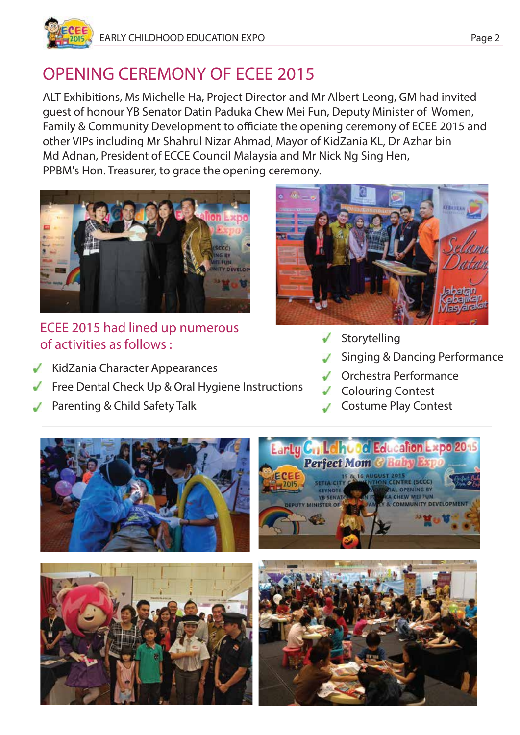

# OPENING CEREMONY OF ECEE 2015

ALT Exhibitions, Ms Michelle Ha, Project Director and Mr Albert Leong, GM had invited guest of honour YB Senator Datin Paduka Chew Mei Fun, Deputy Minister of Women, Family & Community Development to officiate the opening ceremony of ECEE 2015 and other VIPs including Mr Shahrul Nizar Ahmad, Mayor of KidZania KL, Dr Azhar bin Md Adnan, President of ECCE Council Malaysia and Mr Nick Ng Sing Hen, PPBM's Hon. Treasurer, to grace the opening ceremony.



#### ECEE 2015 had lined up numerous of activities as follows :

- KidZania Character Appearances
- Free Dental Check Up & Oral Hygiene Instructions
- Parenting & Child Safety Talk



- Storytelling
- Singing & Dancing Performance
- Orchestra Performance
- Colouring Contest
- Costume Play Contest

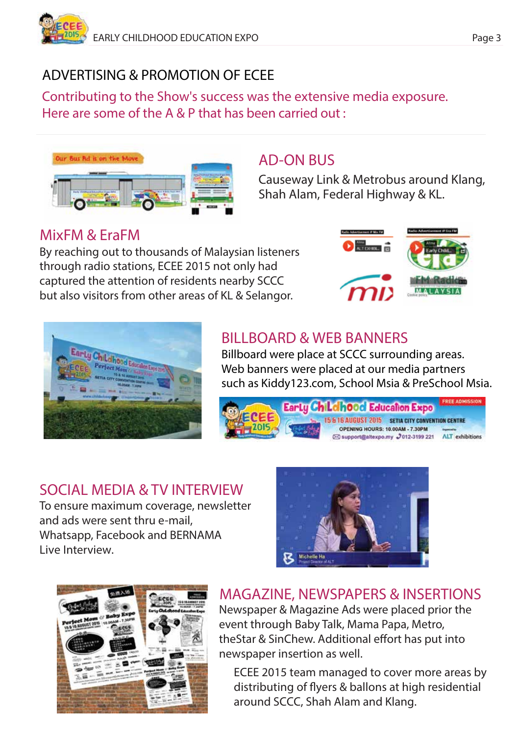## ADVERTISING & PROMOTION OF ECEE

Contributing to the Show's success was the extensive media exposure. Here are some of the A & P that has been carried out :



#### AD-ON BUS

Causeway Link & Metrobus around Klang, Shah Alam, Federal Highway & KL.

## MixFM & EraFM

By reaching out to thousands of Malaysian listeners through radio stations, ECEE 2015 not only had captured the attention of residents nearby SCCC but also visitors from other areas of KL & Selangor.





## BILLBOARD & WEB BANNERS

Billboard were place at SCCC surrounding areas. Web banners were placed at our media partners such as Kiddy123.com, School Msia & PreSchool Msia.



## SOCIAL MEDIA & TV INTERVIEW

To ensure maximum coverage, newsletter and ads were sent thru e-mail, Whatsapp, Facebook and BERNAMA Live Interview.





## MAGAZINE, NEWSPAPERS & INSERTIONS

Newspaper & Magazine Ads were placed prior the event through Baby Talk, Mama Papa, Metro, theStar & SinChew. Additional effort has put into newspaper insertion as well.

ECEE 2015 team managed to cover more areas by distributing of flyers & ballons at high residential around SCCC, Shah Alam and Klang.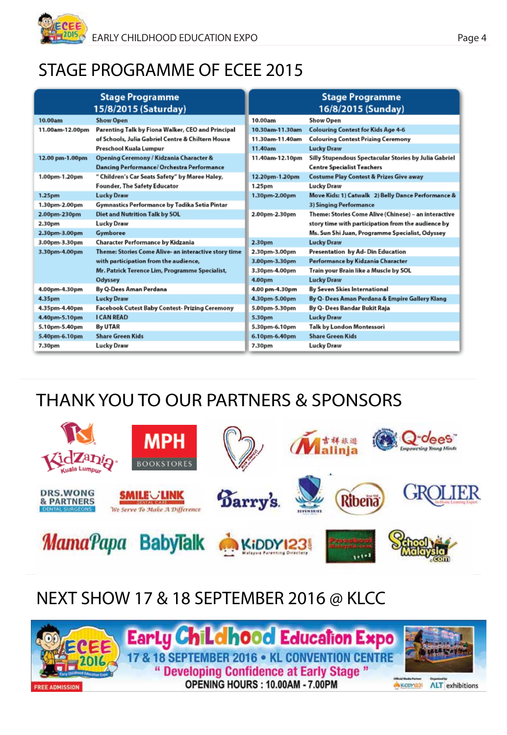# STAGE PROGRAMME OF ECEE 2015

|                    | <b>Stage Programme</b><br>15/8/2015 (Saturday)       |                 | <b>Stage Programme</b><br>16/8/2015 (Sunday)          |
|--------------------|------------------------------------------------------|-----------------|-------------------------------------------------------|
| 10.00am            | <b>Show Open</b>                                     | 10.00am         | <b>Show Open</b>                                      |
| 11.00am-12.00pm    | Parenting Talk by Fiona Walker, CEO and Principal    | 10.30am-11.30am | <b>Colouring Contest for Kids Age 4-6</b>             |
|                    | of Schools, Julia Gabriel Centre & Chiltern House    | 11.30am-11.40am | <b>Colouring Contest Prizing Ceremony</b>             |
|                    | Preschool Kuala Lumpur                               | 11.40am         | <b>Lucky Draw</b>                                     |
| 12.00 pm-1.00pm    | Opening Ceremony / Kidzania Character &              | 11.40am-12.10pm | Silly Stupendous Spectacular Stories by Julia Gabriel |
|                    | Dancing Performance/ Orchestra Performance           |                 | <b>Centre Specialist Teachers</b>                     |
| 1.00pm-1.20pm      | " Children's Car Seats Safety" by Maree Haley,       | 12.20pm-1.20pm  | <b>Costume Play Contest &amp; Prizes Give away</b>    |
|                    | Founder, The Safety Educator                         | 1.25pm          | <b>Lucky Draw</b>                                     |
| 1.25 <sub>pm</sub> | <b>Lucky Draw</b>                                    | 1.30pm-2.00pm   | Move Kids: 1) Catwalk 2) Belly Dance Performance &    |
| 1.30pm-2.00pm      | Gymnastics Performance by Tadika Setia Pintar        |                 | 3) Singing Performance                                |
| 2.00pm-230pm       | Diet and Nutrition Talk by SOL                       | 2.00pm-2.30pm   | Theme: Stories Come Alive (Chinese) - an interactive  |
| 2.30pm             | <b>Lucky Draw</b>                                    |                 | story time with participation from the audience by    |
| 2.30pm-3.00pm      | Gymboree                                             |                 | Ms. Sun Shi Juan, Programme Specialist, Odyssey       |
| 3.00pm-3.30pm      | Character Performance by Kidzania                    | 2.30pm          | <b>Lucky Draw</b>                                     |
| 3.30pm-4.00pm      | Theme: Stories Come Alive- an interactive story time | 2.30pm-3.00pm   | Presentation by Ad-Din Education                      |
|                    | with participation from the audience,                | 3.00pm-3.30pm   | Performance by Kidzania Character                     |
|                    | Mr. Patrick Terence Lim, Programme Specialist,       | 3.30pm-4.00pm   | Train your Brain like a Muscle by SOL                 |
|                    | Odyssey                                              | 4.00pm          | <b>Lucky Draw</b>                                     |
| 4.00pm-4.30pm      | By Q-Dees Aman Perdana                               | 4.00 pm-4.30pm  | By Seven Skies International                          |
| 4.35pm             | <b>Lucky Draw</b>                                    | 4.30pm-5.00pm   | By Q- Dees Aman Perdana & Empire Gallery Klang        |
| 4.35pm-4.40pm      | Facebook Cutest Baby Contest- Prizing Ceremony       | 5.00pm-5.30pm   | By Q- Dees Bandar Bukit Raja                          |
| 4.40pm-5.10pm      | <b>I CAN READ</b>                                    | 5.30pm          | <b>Lucky Draw</b>                                     |
| 5.10pm-5.40pm      | By UTAR                                              | 5.30pm-6.10pm   | Talk by London Montessori                             |
| 5.40pm-6.10pm      | <b>Share Green Kids</b>                              | 6.10pm-6.40pm   | <b>Share Green Kids</b>                               |
| 7.30pm             | <b>Lucky Draw</b>                                    | 7.30pm          | <b>Lucky Draw</b>                                     |

# THANK YOU TO OUR PARTNERS & SPONSORS



## NEXT SHOW 17 & 18 SEPTEMBER 2016 @ KLCC

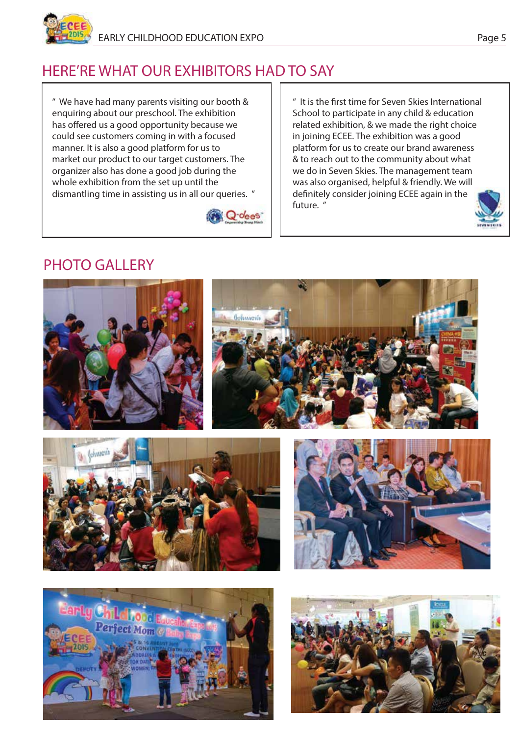## HERE'RE WHAT OUR EXHIBITORS HAD TO SAY

" We have had many parents visiting our booth & enquiring about our preschool. The exhibition has offered us a good opportunity because we could see customers coming in with a focused manner. It is also a good platform for us to market our product to our target customers. The organizer also has done a good job during the whole exhibition from the set up until the dismantling time in assisting us in all our queries. "



" It is the first time for Seven Skies International School to participate in any child & education related exhibition, & we made the right choice in joining ECEE. The exhibition was a good platform for us to create our brand awareness & to reach out to the community about what we do in Seven Skies. The management team was also organised, helpful & friendly. We will definitely consider joining ECEE again in the future. "











**TOTAL ATTENDEES**